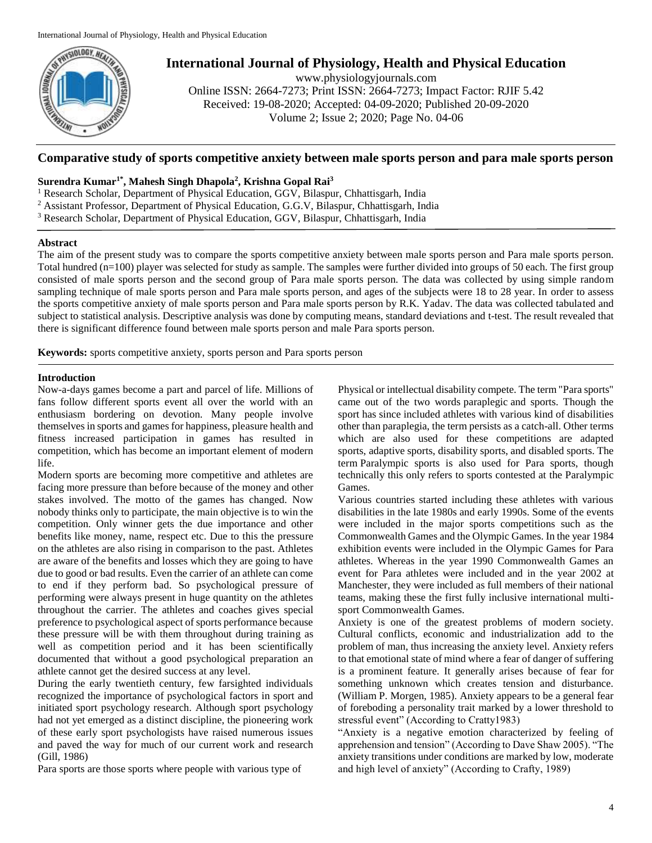

# **International Journal of Physiology, Health and Physical Education**

www.physiologyjournals.com Online ISSN: 2664-7273; Print ISSN: 2664-7273; Impact Factor: RJIF 5.42 Received: 19-08-2020; Accepted: 04-09-2020; Published 20-09-2020 Volume 2; Issue 2; 2020; Page No. 04-06

# **Comparative study of sports competitive anxiety between male sports person and para male sports person**

## **Surendra Kumar1\* , Mahesh Singh Dhapola<sup>2</sup> , Krishna Gopal Rai<sup>3</sup>**

<sup>1</sup> Research Scholar, Department of Physical Education, GGV, Bilaspur, Chhattisgarh, India

<sup>2</sup> Assistant Professor, Department of Physical Education, G.G.V, Bilaspur, Chhattisgarh, India

<sup>3</sup> Research Scholar, Department of Physical Education, GGV, Bilaspur, Chhattisgarh, India

## **Abstract**

The aim of the present study was to compare the sports competitive anxiety between male sports person and Para male sports person. Total hundred (n=100) player was selected for study as sample. The samples were further divided into groups of 50 each. The first group consisted of male sports person and the second group of Para male sports person. The data was collected by using simple random sampling technique of male sports person and Para male sports person, and ages of the subjects were 18 to 28 year. In order to assess the sports competitive anxiety of male sports person and Para male sports person by R.K. Yadav. The data was collected tabulated and subject to statistical analysis. Descriptive analysis was done by computing means, standard deviations and t-test. The result revealed that there is significant difference found between male sports person and male Para sports person.

**Keywords:** sports competitive anxiety, sports person and Para sports person

## **Introduction**

Now-a-days games become a part and parcel of life. Millions of fans follow different sports event all over the world with an enthusiasm bordering on devotion. Many people involve themselves in sports and games for happiness, pleasure health and fitness increased participation in games has resulted in competition, which has become an important element of modern life.

Modern sports are becoming more competitive and athletes are facing more pressure than before because of the money and other stakes involved. The motto of the games has changed. Now nobody thinks only to participate, the main objective is to win the competition. Only winner gets the due importance and other benefits like money, name, respect etc. Due to this the pressure on the athletes are also rising in comparison to the past. Athletes are aware of the benefits and losses which they are going to have due to good or bad results. Even the carrier of an athlete can come to end if they perform bad. So psychological pressure of performing were always present in huge quantity on the athletes throughout the carrier. The athletes and coaches gives special preference to psychological aspect of sports performance because these pressure will be with them throughout during training as well as competition period and it has been scientifically documented that without a good psychological preparation an athlete cannot get the desired success at any level.

During the early twentieth century, few farsighted individuals recognized the importance of psychological factors in sport and initiated sport psychology research. Although sport psychology had not yet emerged as a distinct discipline, the pioneering work of these early sport psychologists have raised numerous issues and paved the way for much of our current work and research (Gill, 1986)

Para sports are those sports where people with various type of

Physical or intellectual disability compete. The term "Para sports" came out of the two words paraplegic and sports. Though the sport has since included athletes with various kind of disabilities other than paraplegia, the term persists as a catch-all. Other terms which are also used for these competitions are adapted sports, adaptive sports, disability sports, and disabled sports. The term Paralympic sports is also used for Para sports, though technically this only refers to sports contested at the Paralympic Games.

Various countries started including these athletes with various disabilities in the late 1980s and early 1990s. Some of the events were included in the major sports competitions such as the Commonwealth Games and the Olympic Games. In the year 1984 exhibition events were included in the Olympic Games for Para athletes. Whereas in the year 1990 Commonwealth Games an event for Para athletes were included and in the year 2002 at Manchester, they were included as full members of their national teams, making these the first fully inclusive international multisport Commonwealth Games.

Anxiety is one of the greatest problems of modern society. Cultural conflicts, economic and industrialization add to the problem of man, thus increasing the anxiety level. Anxiety refers to that emotional state of mind where a fear of danger of suffering is a prominent feature. It generally arises because of fear for something unknown which creates tension and disturbance. (William P. Morgen, 1985). Anxiety appears to be a general fear of foreboding a personality trait marked by a lower threshold to stressful event" (According to Cratty1983)

"Anxiety is a negative emotion characterized by feeling of apprehension and tension" (According to Dave Shaw 2005). "The anxiety transitions under conditions are marked by low, moderate and high level of anxiety" (According to Crafty, 1989)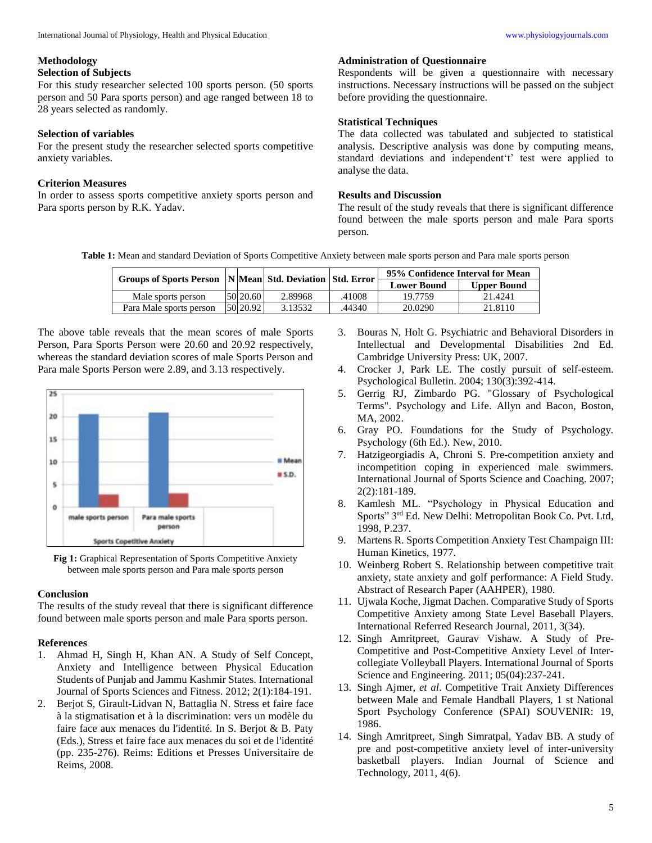#### **Methodology**

#### **Selection of Subjects**

For this study researcher selected 100 sports person. (50 sports person and 50 Para sports person) and age ranged between 18 to 28 years selected as randomly.

#### **Selection of variables**

For the present study the researcher selected sports competitive anxiety variables.

## **Criterion Measures**

In order to assess sports competitive anxiety sports person and Para sports person by R.K. Yadav.

## **Administration of Questionnaire**

Respondents will be given a questionnaire with necessary instructions. Necessary instructions will be passed on the subject before providing the questionnaire.

## **Statistical Techniques**

The data collected was tabulated and subjected to statistical analysis. Descriptive analysis was done by computing means, standard deviations and independent't' test were applied to analyse the data.

#### **Results and Discussion**

The result of the study reveals that there is significant difference found between the male sports person and male Para sports person.

**Table 1:** Mean and standard Deviation of Sports Competitive Anxiety between male sports person and Para male sports person

| Groups of Sports Person   N Mean  Std. Deviation   Std. Error |             |         |        | 95% Confidence Interval for Mean |                    |
|---------------------------------------------------------------|-------------|---------|--------|----------------------------------|--------------------|
|                                                               |             |         |        | <b>Lower Bound</b>               | <b>Upper Bound</b> |
| Male sports person                                            | $50\,20.60$ | 2.89968 | .41008 | 19.7759                          | 21.4241            |
| Para Male sports person                                       | 50 20.92    | 3.13532 | .44340 | 20.0290                          | 21.8110            |

The above table reveals that the mean scores of male Sports Person, Para Sports Person were 20.60 and 20.92 respectively, whereas the standard deviation scores of male Sports Person and Para male Sports Person were 2.89, and 3.13 respectively.



**Fig 1:** Graphical Representation of Sports Competitive Anxiety between male sports person and Para male sports person

### **Conclusion**

The results of the study reveal that there is significant difference found between male sports person and male Para sports person.

#### **References**

- 1. Ahmad H, Singh H, Khan AN. A Study of Self Concept, Anxiety and Intelligence between Physical Education Students of Punjab and Jammu Kashmir States. International Journal of Sports Sciences and Fitness. 2012; 2(1):184-191.
- 2. Berjot S, Girault-Lidvan N, Battaglia N. Stress et faire face à la stigmatisation et à la discrimination: vers un modèle du faire face aux menaces du l'identité. In S. Berjot & B. Paty (Eds.), Stress et faire face aux menaces du soi et de l'identité (pp. 235-276). Reims: Editions et Presses Universitaire de Reims, 2008.
- 3. Bouras N, Holt G. Psychiatric and Behavioral Disorders in Intellectual and Developmental Disabilities 2nd Ed. Cambridge University Press: UK, 2007.
- 4. Crocker J, Park LE. The costly pursuit of self-esteem. Psychological Bulletin. 2004; 130(3):392-414.
- 5. Gerrig RJ, Zimbardo PG. "Glossary of Psychological Terms". Psychology and Life. Allyn and Bacon, Boston, MA, 2002.
- 6. Gray PO. Foundations for the Study of Psychology. Psychology (6th Ed.). New, 2010.
- 7. Hatzigeorgiadis A, Chroni S. Pre-competition anxiety and incompetition coping in experienced male swimmers. International Journal of Sports Science and Coaching. 2007; 2(2):181-189.
- 8. Kamlesh ML. "Psychology in Physical Education and Sports" 3rd Ed. New Delhi: Metropolitan Book Co. Pvt. Ltd, 1998, P.237.
- 9. Martens R. Sports Competition Anxiety Test Champaign III: Human Kinetics, 1977.
- 10. Weinberg Robert S. Relationship between competitive trait anxiety, state anxiety and golf performance: A Field Study. Abstract of Research Paper (AAHPER), 1980.
- 11. Ujwala Koche, Jigmat Dachen. Comparative Study of Sports Competitive Anxiety among State Level Baseball Players. International Referred Research Journal, 2011, 3(34).
- 12. Singh Amritpreet, Gaurav Vishaw. A Study of Pre-Competitive and Post-Competitive Anxiety Level of Intercollegiate Volleyball Players. International Journal of Sports Science and Engineering. 2011; 05(04):237-241.
- 13. Singh Ajmer, *et al*. Competitive Trait Anxiety Differences between Male and Female Handball Players, 1 st National Sport Psychology Conference (SPAI) SOUVENIR: 19, 1986.
- 14. Singh Amritpreet, Singh Simratpal, Yadav BB. A study of pre and post-competitive anxiety level of inter-university basketball players. Indian Journal of Science and Technology, 2011, 4(6).